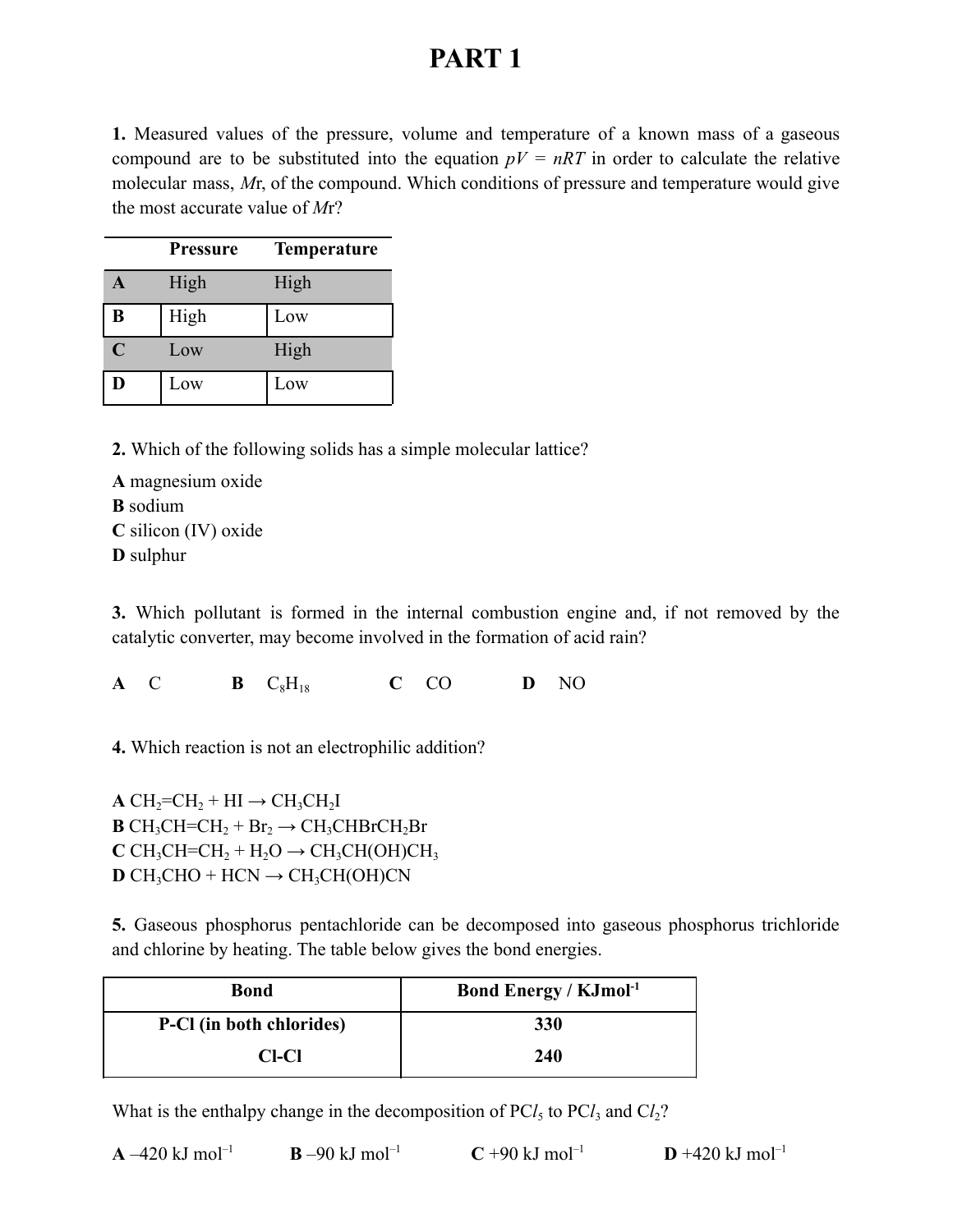# **PART 1**

**1.** Measured values of the pressure, volume and temperature of a known mass of a gaseous compound are to be substituted into the equation  $pV = nRT$  in order to calculate the relative molecular mass, *M*r, of the compound. Which conditions of pressure and temperature would give the most accurate value of *M*r?

|             | <b>Pressure</b> | <b>Temperature</b> |
|-------------|-----------------|--------------------|
| A           | High            | High               |
| B           | High            | Low                |
| $\mathbf C$ | Low             | High               |
| D           | Low             | Low                |

**2.** Which of the following solids has a simple molecular lattice?

**A** magnesium oxide **B** sodium **C** silicon (IV) oxide **D** sulphur

**3.** Which pollutant is formed in the internal combustion engine and, if not removed by the catalytic converter, may become involved in the formation of acid rain?

**A** C **B** C8H<sup>18</sup> **C** CO **D** NO

**4.** Which reaction is not an electrophilic addition?

 $A CH<sub>2</sub>=CH<sub>2</sub> + HI \rightarrow CH<sub>3</sub>CH<sub>2</sub>I$  $B CH_3CH=CH_2 + Br_2 \rightarrow CH_3CHBrCH_2Br$  $C CH<sub>3</sub>CH=CH<sub>2</sub> + H<sub>2</sub>O \rightarrow CH<sub>3</sub>CH(OH)CH<sub>3</sub>$  $D CH<sub>3</sub>CHO + HCN \rightarrow CH<sub>3</sub>CH(OH)CN$ 

**5.** Gaseous phosphorus pentachloride can be decomposed into gaseous phosphorus trichloride and chlorine by heating. The table below gives the bond energies.

| Bond                     | <b>Bond Energy / KJmol</b> <sup>-1</sup> |
|--------------------------|------------------------------------------|
| P-CI (in both chlorides) | <b>330</b>                               |
| CI-CI                    | 240                                      |

What is the enthalpy change in the decomposition of  $\text{PC}l_5$  to  $\text{PC}l_3$  and  $\text{C}l_2$ ?

| $A - 420$ kJ mol <sup>-1</sup> | $B - 90$ kJ mol <sup>-1</sup> | $C + 90$ kJ mol <sup>-1</sup> | $D + 420$ kJ mol <sup>-1</sup> |
|--------------------------------|-------------------------------|-------------------------------|--------------------------------|
|                                |                               |                               |                                |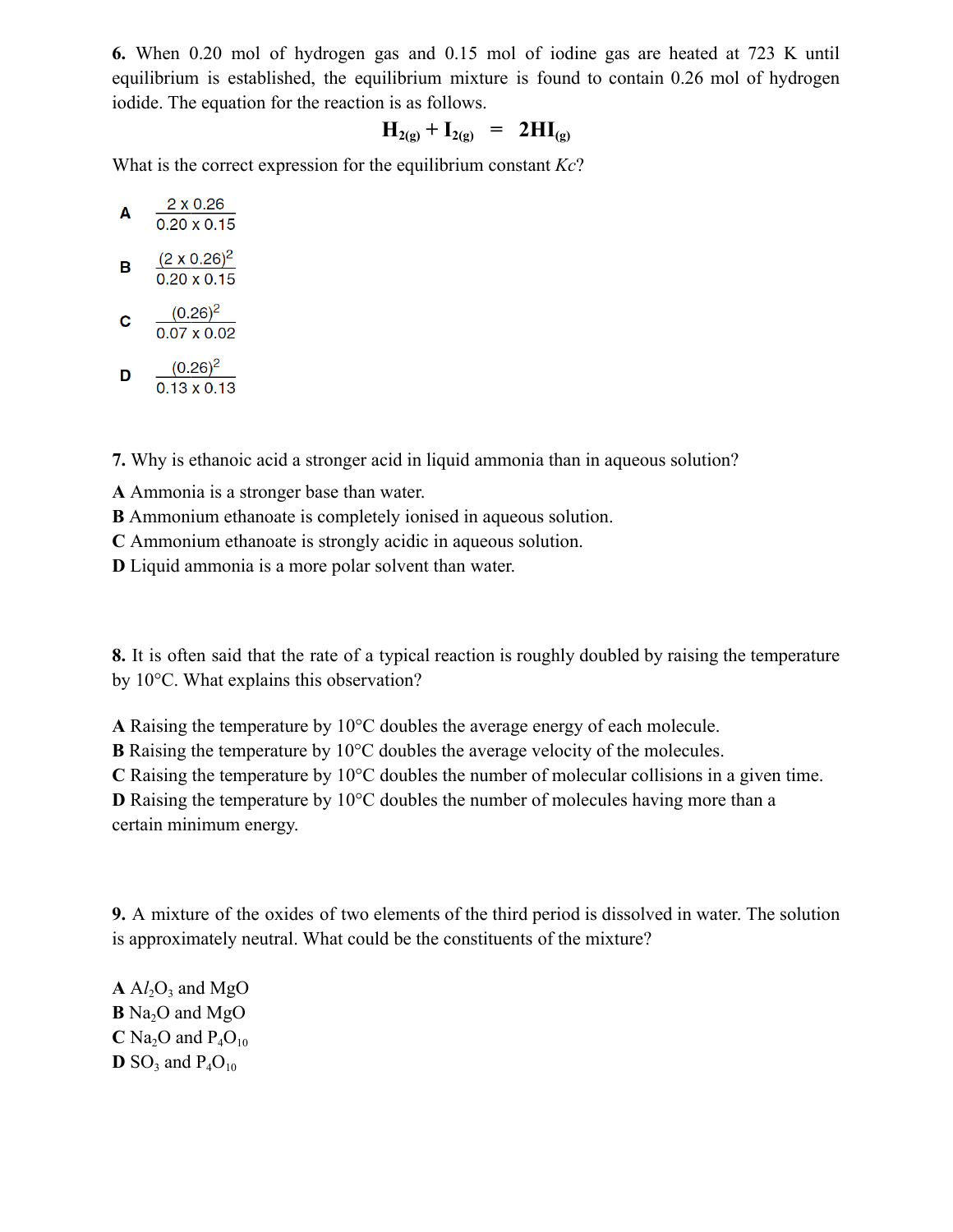**6.** When 0.20 mol of hydrogen gas and 0.15 mol of iodine gas are heated at 723 K until equilibrium is established, the equilibrium mixture is found to contain 0.26 mol of hydrogen iodide. The equation for the reaction is as follows.

$$
H_{2(g)} + I_{2(g)} = 2HI_{(g)}
$$

What is the correct expression for the equilibrium constant *Kc*?

| A | 2 x 0.26<br>$0.20 \times 0.15$            |
|---|-------------------------------------------|
| B | $(2 \times 0.26)^2$<br>$0.20 \times 0.15$ |
| c | $(0.26)^2$<br>0.07 x 0.02                 |

$$
\mathbf{D} = \frac{(0.26)^2}{0.13 \times 0.13}
$$

**7.** Why is ethanoic acid a stronger acid in liquid ammonia than in aqueous solution?

**A** Ammonia is a stronger base than water.

**B** Ammonium ethanoate is completely ionised in aqueous solution.

**C** Ammonium ethanoate is strongly acidic in aqueous solution.

**D** Liquid ammonia is a more polar solvent than water.

**8.** It is often said that the rate of a typical reaction is roughly doubled by raising the temperature by 10°C. What explains this observation?

**A** Raising the temperature by 10°C doubles the average energy of each molecule.

**B** Raising the temperature by 10°C doubles the average velocity of the molecules.

**C** Raising the temperature by 10°C doubles the number of molecular collisions in a given time.

**D** Raising the temperature by 10<sup>o</sup>C doubles the number of molecules having more than a certain minimum energy.

**9.** A mixture of the oxides of two elements of the third period is dissolved in water. The solution is approximately neutral. What could be the constituents of the mixture?

 $A$   $A$ *l*<sub>2</sub> $O$ <sub>3</sub> and MgO  $\mathbf{B}$  Na<sub>2</sub>O and MgO  $C$  Na<sub>2</sub>O and P<sub>4</sub>O<sub>10</sub>  $\mathbf{D}$  SO<sub>3</sub> and P<sub>4</sub>O<sub>10</sub>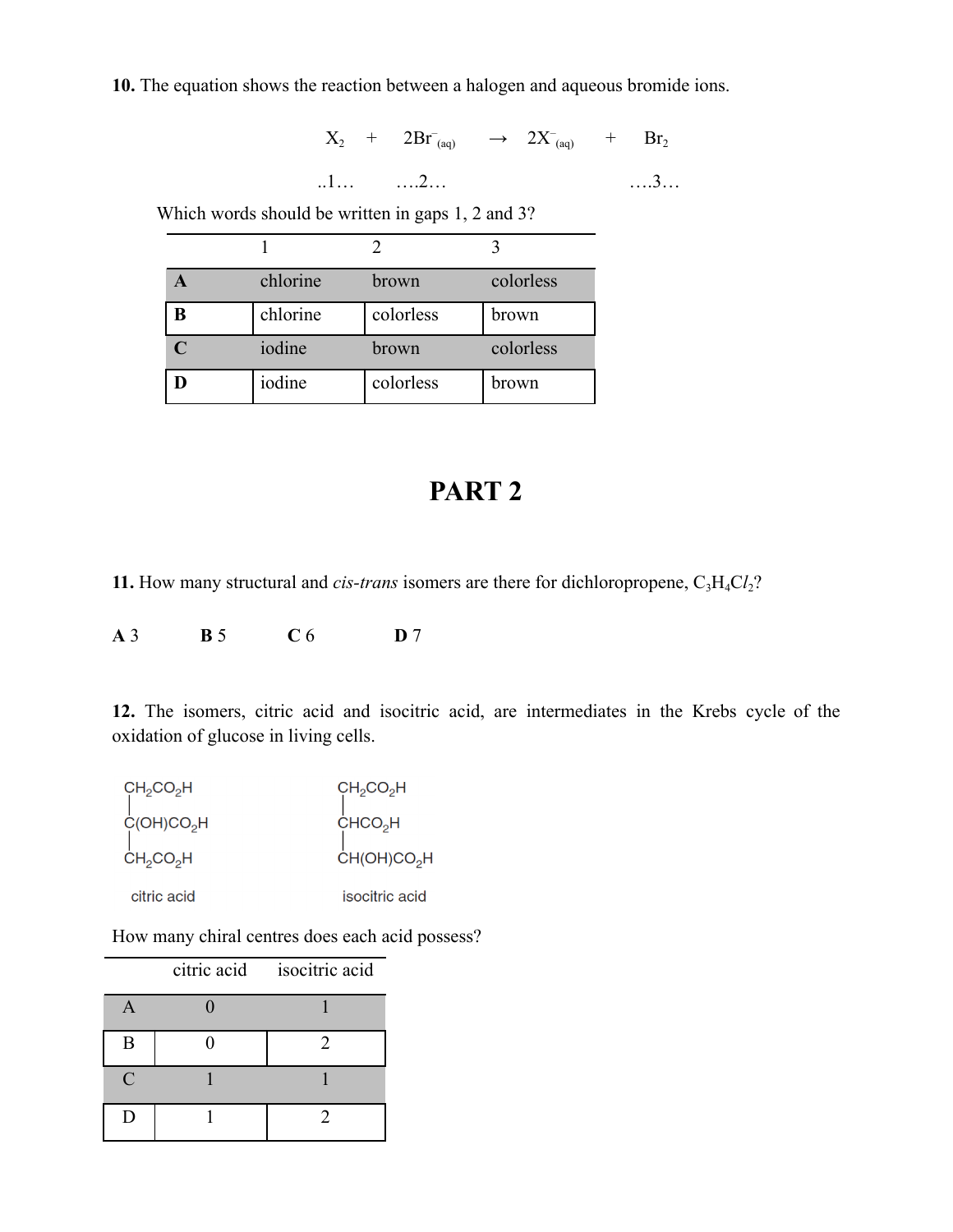**10.** The equation shows the reaction between a halogen and aqueous bromide ions.

 $X_2$  +  $2Br_{(aq)}$   $\rightarrow$   $2X_{(aq)}$  +  $Br_2$ 

$$
\ldots 2 \ldots \hspace{2.5cm} \ldots 3 \ldots
$$

Which words should be written in gaps 1, 2 and 3?

|   | chlorine | brown     | colorless |
|---|----------|-----------|-----------|
| B | chlorine | colorless | brown     |
|   | iodine   | brown     | colorless |
|   | iodine   | colorless | brown     |

# **PART 2**

**11.** How many structural and *cis-trans* isomers are there for dichloropropene,  $C_3H_4Cl_2$ ?

**A** 3 **B** 5 **C** 6 **D** 7

**12.** The isomers, citric acid and isocitric acid, are intermediates in the Krebs cycle of the oxidation of glucose in living cells.

| CH <sub>2</sub> CO <sub>2</sub> H | $CH_2CO_2H$             |
|-----------------------------------|-------------------------|
| C(OH)CO <sub>2</sub> H            | CHCO <sub>2</sub> H     |
| CH <sub>2</sub> CO <sub>2</sub> H | CH(OH)CO <sub>2</sub> H |
| citric acid                       | isocitric acid          |

How many chiral centres does each acid possess?

|               | citric acid isocitric acid |
|---------------|----------------------------|
|               |                            |
| B             | 2                          |
| $\mathcal{C}$ |                            |
| I)            |                            |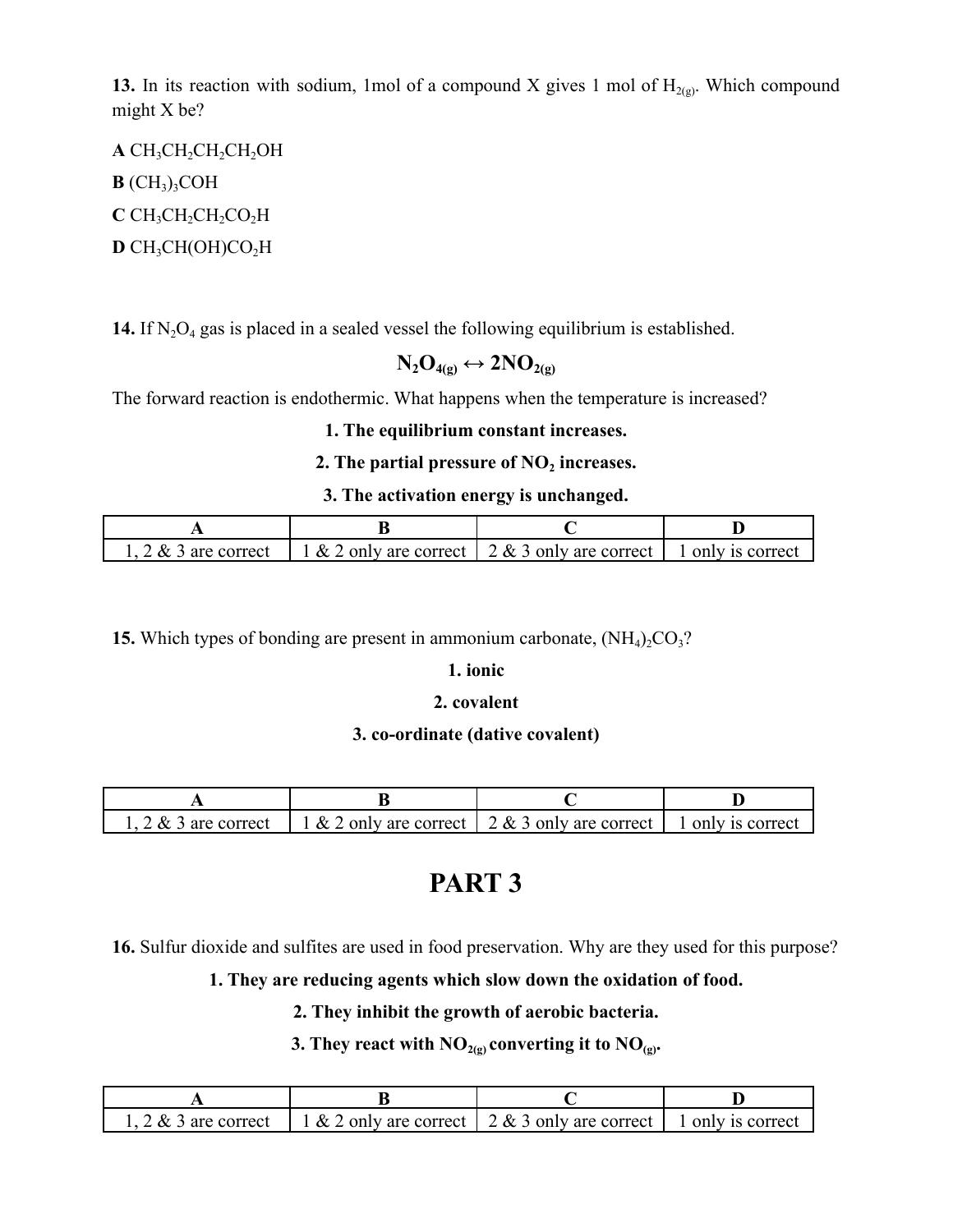**13.** In its reaction with sodium, 1mol of a compound X gives 1 mol of  $H_{2(g)}$ . Which compound might X be?

A CH<sub>3</sub>CH<sub>2</sub>CH<sub>2</sub>CH<sub>2</sub>OH  $B$  (CH<sub>3</sub>)<sub>3</sub>COH **C** CH<sub>3</sub>CH<sub>2</sub>CH<sub>2</sub>CO<sub>2</sub>H  $D$  CH<sub>3</sub>CH(OH)CO<sub>2</sub>H

**14.** If  $N_2O_4$  gas is placed in a sealed vessel the following equilibrium is established.

$$
N_2O_{4(g)}\leftrightarrow 2NO_{2(g)}
$$

The forward reaction is endothermic. What happens when the temperature is increased?

### **1. The equilibrium constant increases.**

#### **2. The partial pressure of NO<sup>2</sup> increases.**

#### **3. The activation energy is unchanged.**

|  | $2 \& 3$ are correct   1 & 2 only are correct   2 & 3 only are correct   1 only is correct |  |
|--|--------------------------------------------------------------------------------------------|--|

**15.** Which types of bonding are present in ammonium carbonate,  $(NH_4)_2CO_3$ ?

#### **1. ionic**

#### **2. covalent**

#### **3. co-ordinate (dative covalent)**

|  | 1, 2 & 3 are correct   1 & 2 only are correct   2 & 3 only are correct   1 only is correct |  |
|--|--------------------------------------------------------------------------------------------|--|

## **PART 3**

**16.** Sulfur dioxide and sulfites are used in food preservation. Why are they used for this purpose?

## **1. They are reducing agents which slow down the oxidation of food.**

#### **2. They inhibit the growth of aerobic bacteria.**

#### **3.** They react with  $\overline{NO}_{2(g)}$  converting it to  $\overline{NO}_{(g)}$ .

| 1, 2 & 3 are correct   1 & 2 only are correct   2 & 3 only are correct   1 only is correct |  |
|--------------------------------------------------------------------------------------------|--|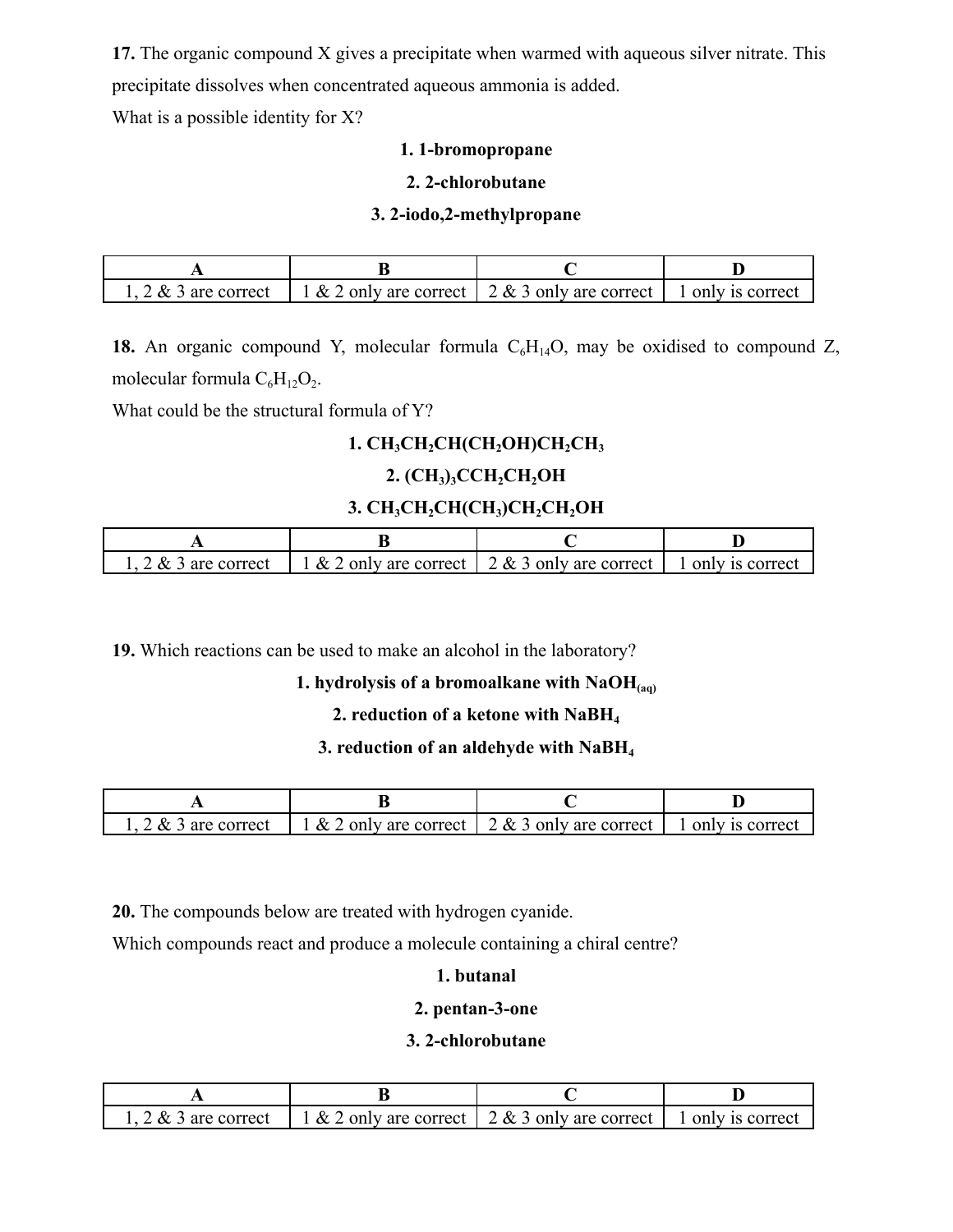**17.** The organic compound X gives a precipitate when warmed with aqueous silver nitrate. This precipitate dissolves when concentrated aqueous ammonia is added.

What is a possible identity for X?

#### **1. 1-bromopropane**

#### **2. 2-chlorobutane**

#### **3. 2-iodo,2-methylpropane**

|  | $\left[1, 2 \& 3 \text{ are correct} \right]$ $\left[1 \& 2 \text{ only are correct} \right]$ $\left[2 \& 3 \text{ only are correct} \right]$ $\left[1 \text{ only is correct} \right]$ |  |
|--|-----------------------------------------------------------------------------------------------------------------------------------------------------------------------------------------|--|

18. An organic compound Y, molecular formula  $C_6H_{14}O$ , may be oxidised to compound Z, molecular formula  $C_6H_{12}O_2$ .

What could be the structural formula of Y?

## **1. CH3CH2CH(CH2OH)CH2CH<sup>3</sup>**

## **2. (CH3)3CCH2CH2OH**

## **3. CH3CH2CH(CH3)CH2CH2OH**

|  | $\therefore$ 2 & 3 are correct   1 & 2 only are correct   2 & 3 only are correct   1 only is correct |  |
|--|------------------------------------------------------------------------------------------------------|--|

**19.** Which reactions can be used to make an alcohol in the laboratory?

### **1. hydrolysis of a bromoalkane with NaOH(aq)**

#### **2. reduction of a ketone with NaBH<sup>4</sup>**

#### **3. reduction of an aldehyde with NaBH<sup>4</sup>**

| $2 \& 3$ are correct | $\vert$ 1 & 2 only are correct $\vert$ 2 & 3 only are correct $\vert$ 1 only is correct |  |
|----------------------|-----------------------------------------------------------------------------------------|--|

**20.** The compounds below are treated with hydrogen cyanide.

Which compounds react and produce a molecule containing a chiral centre?

## **1. butanal**

#### **2. pentan-3-one**

#### **3. 2-chlorobutane**

| $2 \& 3$ are correct   1 & 2 only are correct   2 & 3 only are correct   1 only is correct |  |
|--------------------------------------------------------------------------------------------|--|